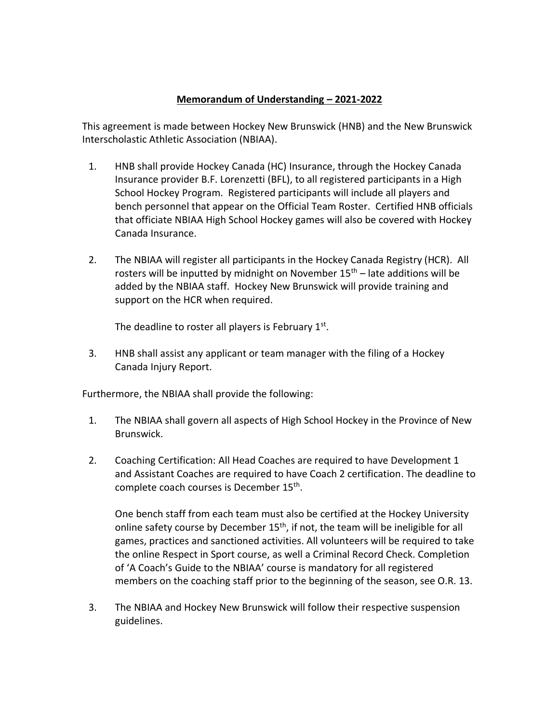## **Memorandum of Understanding – 2021-2022**

This agreement is made between Hockey New Brunswick (HNB) and the New Brunswick Interscholastic Athletic Association (NBIAA).

- 1. HNB shall provide Hockey Canada (HC) Insurance, through the Hockey Canada Insurance provider B.F. Lorenzetti (BFL), to all registered participants in a High School Hockey Program. Registered participants will include all players and bench personnel that appear on the Official Team Roster. Certified HNB officials that officiate NBIAA High School Hockey games will also be covered with Hockey Canada Insurance.
- 2. The NBIAA will register all participants in the Hockey Canada Registry (HCR). All rosters will be inputted by midnight on November  $15<sup>th</sup>$  – late additions will be added by the NBIAA staff. Hockey New Brunswick will provide training and support on the HCR when required.

The deadline to roster all players is February  $1<sup>st</sup>$ .

3. HNB shall assist any applicant or team manager with the filing of a Hockey Canada Injury Report.

Furthermore, the NBIAA shall provide the following:

- 1. The NBIAA shall govern all aspects of High School Hockey in the Province of New Brunswick.
- 2. Coaching Certification: All Head Coaches are required to have Development 1 and Assistant Coaches are required to have Coach 2 certification. The deadline to complete coach courses is December 15<sup>th</sup>.

One bench staff from each team must also be certified at the Hockey University online safety course by December  $15<sup>th</sup>$ , if not, the team will be ineligible for all games, practices and sanctioned activities. All volunteers will be required to take the online Respect in Sport course, as well a Criminal Record Check. Completion of 'A Coach's Guide to the NBIAA' course is mandatory for all registered members on the coaching staff prior to the beginning of the season, see O.R. 13.

3. The NBIAA and Hockey New Brunswick will follow their respective suspension guidelines.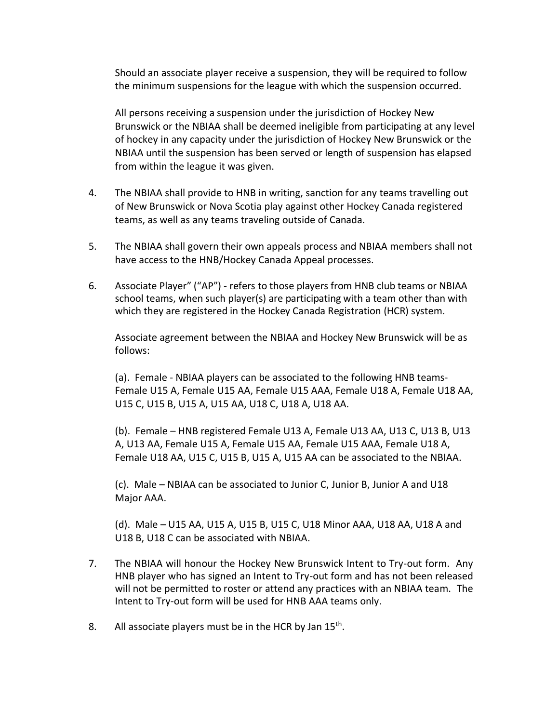Should an associate player receive a suspension, they will be required to follow the minimum suspensions for the league with which the suspension occurred.

All persons receiving a suspension under the jurisdiction of Hockey New Brunswick or the NBIAA shall be deemed ineligible from participating at any level of hockey in any capacity under the jurisdiction of Hockey New Brunswick or the NBIAA until the suspension has been served or length of suspension has elapsed from within the league it was given.

- 4. The NBIAA shall provide to HNB in writing, sanction for any teams travelling out of New Brunswick or Nova Scotia play against other Hockey Canada registered teams, as well as any teams traveling outside of Canada.
- 5. The NBIAA shall govern their own appeals process and NBIAA members shall not have access to the HNB/Hockey Canada Appeal processes.
- 6. Associate Player" ("AP") refers to those players from HNB club teams or NBIAA school teams, when such player(s) are participating with a team other than with which they are registered in the Hockey Canada Registration (HCR) system.

Associate agreement between the NBIAA and Hockey New Brunswick will be as follows:

(a). Female - NBIAA players can be associated to the following HNB teams-Female U15 A, Female U15 AA, Female U15 AAA, Female U18 A, Female U18 AA, U15 C, U15 B, U15 A, U15 AA, U18 C, U18 A, U18 AA.

(b). Female – HNB registered Female U13 A, Female U13 AA, U13 C, U13 B, U13 A, U13 AA, Female U15 A, Female U15 AA, Female U15 AAA, Female U18 A, Female U18 AA, U15 C, U15 B, U15 A, U15 AA can be associated to the NBIAA.

(c). Male – NBIAA can be associated to Junior C, Junior B, Junior A and U18 Major AAA.

(d). Male – U15 AA, U15 A, U15 B, U15 C, U18 Minor AAA, U18 AA, U18 A and U18 B, U18 C can be associated with NBIAA.

- 7. The NBIAA will honour the Hockey New Brunswick Intent to Try-out form. Any HNB player who has signed an Intent to Try-out form and has not been released will not be permitted to roster or attend any practices with an NBIAA team. The Intent to Try-out form will be used for HNB AAA teams only.
- 8. All associate players must be in the HCR by Jan  $15<sup>th</sup>$ .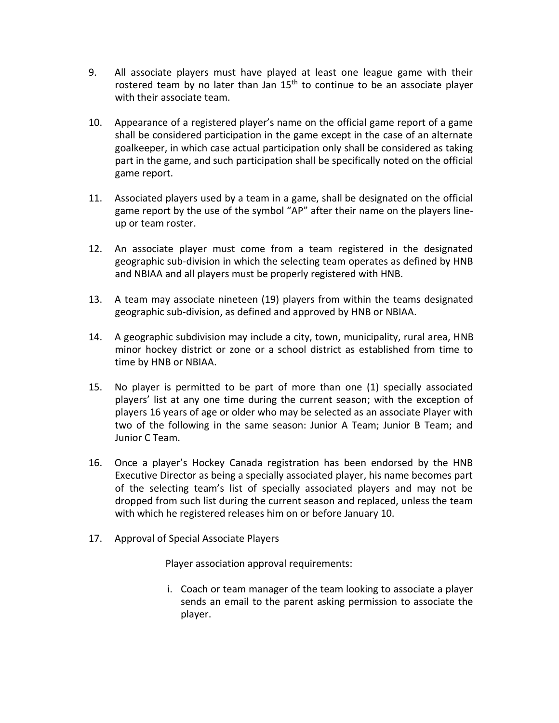- 9. All associate players must have played at least one league game with their rostered team by no later than Jan  $15<sup>th</sup>$  to continue to be an associate player with their associate team.
- 10. Appearance of a registered player's name on the official game report of a game shall be considered participation in the game except in the case of an alternate goalkeeper, in which case actual participation only shall be considered as taking part in the game, and such participation shall be specifically noted on the official game report.
- 11. Associated players used by a team in a game, shall be designated on the official game report by the use of the symbol "AP" after their name on the players lineup or team roster.
- 12. An associate player must come from a team registered in the designated geographic sub-division in which the selecting team operates as defined by HNB and NBIAA and all players must be properly registered with HNB.
- 13. A team may associate nineteen (19) players from within the teams designated geographic sub-division, as defined and approved by HNB or NBIAA.
- 14. A geographic subdivision may include a city, town, municipality, rural area, HNB minor hockey district or zone or a school district as established from time to time by HNB or NBIAA.
- 15. No player is permitted to be part of more than one (1) specially associated players' list at any one time during the current season; with the exception of players 16 years of age or older who may be selected as an associate Player with two of the following in the same season: Junior A Team; Junior B Team; and Junior C Team.
- 16. Once a player's Hockey Canada registration has been endorsed by the HNB Executive Director as being a specially associated player, his name becomes part of the selecting team's list of specially associated players and may not be dropped from such list during the current season and replaced, unless the team with which he registered releases him on or before January 10.
- 17. Approval of Special Associate Players

Player association approval requirements:

i. Coach or team manager of the team looking to associate a player sends an email to the parent asking permission to associate the player.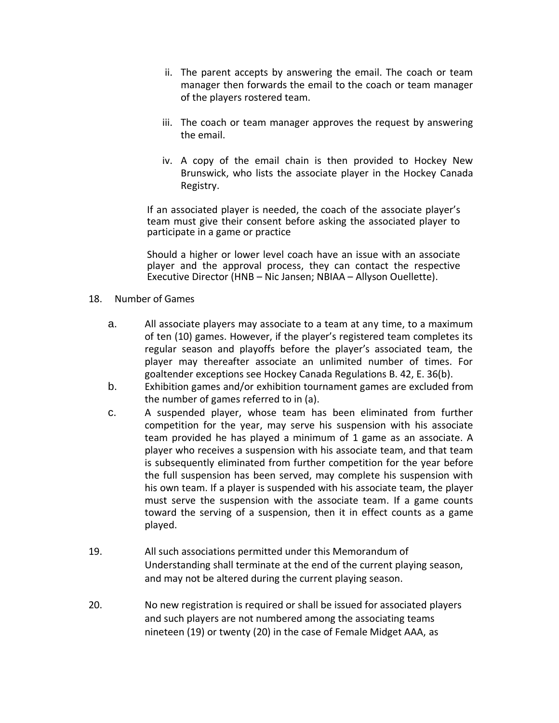- ii. The parent accepts by answering the email. The coach or team manager then forwards the email to the coach or team manager of the players rostered team.
- iii. The coach or team manager approves the request by answering the email.
- iv. A copy of the email chain is then provided to Hockey New Brunswick, who lists the associate player in the Hockey Canada Registry.

If an associated player is needed, the coach of the associate player's team must give their consent before asking the associated player to participate in a game or practice

Should a higher or lower level coach have an issue with an associate player and the approval process, they can contact the respective Executive Director (HNB – Nic Jansen; NBIAA – Allyson Ouellette).

- 18. Number of Games
	- a. All associate players may associate to a team at any time, to a maximum of ten (10) games. However, if the player's registered team completes its regular season and playoffs before the player's associated team, the player may thereafter associate an unlimited number of times. For goaltender exceptions see Hockey Canada Regulations B. 42, E. 36(b).
	- b. Exhibition games and/or exhibition tournament games are excluded from the number of games referred to in (a).
	- c. A suspended player, whose team has been eliminated from further competition for the year, may serve his suspension with his associate team provided he has played a minimum of 1 game as an associate. A player who receives a suspension with his associate team, and that team is subsequently eliminated from further competition for the year before the full suspension has been served, may complete his suspension with his own team. If a player is suspended with his associate team, the player must serve the suspension with the associate team. If a game counts toward the serving of a suspension, then it in effect counts as a game played.
- 19. All such associations permitted under this Memorandum of Understanding shall terminate at the end of the current playing season, and may not be altered during the current playing season.
- 20. No new registration is required or shall be issued for associated players and such players are not numbered among the associating teams nineteen (19) or twenty (20) in the case of Female Midget AAA, as